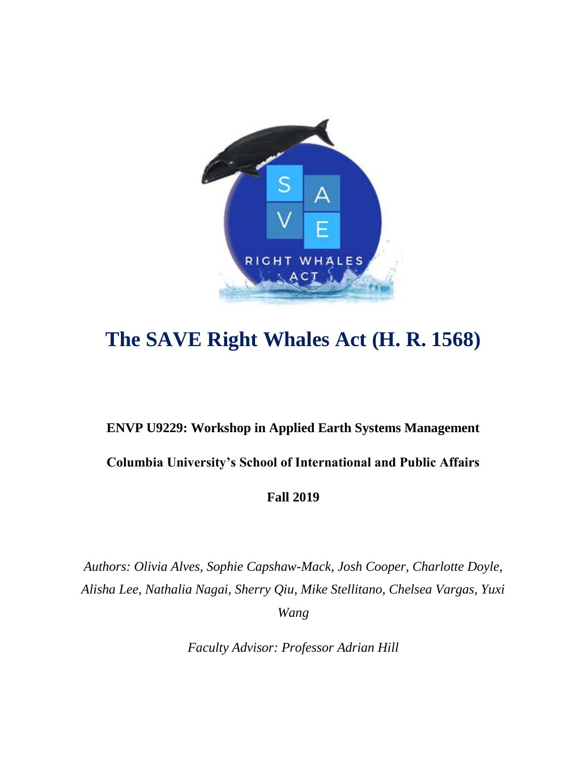

# **The SAVE Right Whales Act (H. R. 1568)**

# **ENVP U9229: Workshop in Applied Earth Systems Management Columbia University's School of International and Public Affairs**

**Fall 2019**

*Authors: Olivia Alves, Sophie Capshaw-Mack, Josh Cooper, Charlotte Doyle, Alisha Lee, Nathalia Nagai, Sherry Qiu, Mike Stellitano, Chelsea Vargas, Yuxi Wang*

*Faculty Advisor: Professor Adrian Hill*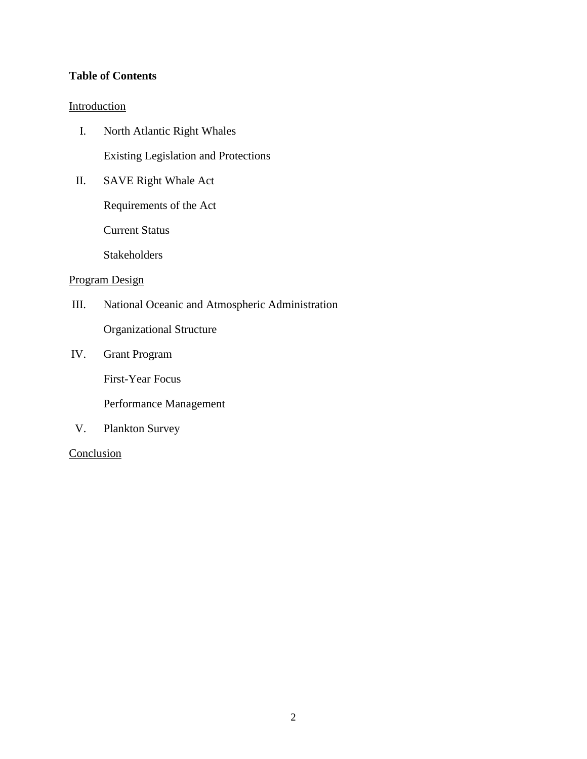# **Table of Contents**

#### Introduction

- I. North Atlantic Right Whales Existing Legislation and Protections
- II. SAVE Right Whale Act

Requirements of the Act

Current Status

**Stakeholders** 

#### Program Design

- III. National Oceanic and Atmospheric Administration Organizational Structure
- IV. Grant Program

First-Year Focus

Performance Management

V. Plankton Survey

**Conclusion**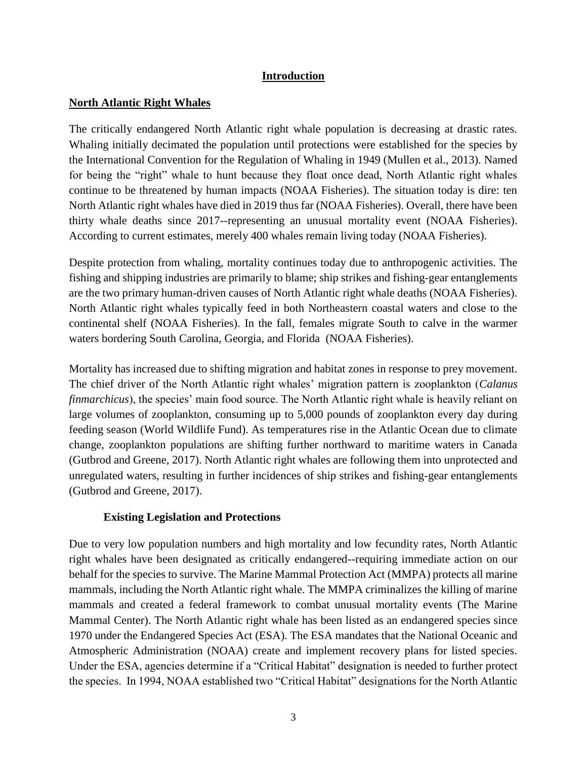# **Introduction**

# **North Atlantic Right Whales**

The critically endangered North Atlantic right whale population is decreasing at drastic rates. Whaling initially decimated the population until protections were established for the species by the International Convention for the Regulation of Whaling in 1949 (Mullen et al., 2013). Named for being the "right" whale to hunt because they float once dead, North Atlantic right whales continue to be threatened by human impacts (NOAA Fisheries). The situation today is dire: ten North Atlantic right whales have died in 2019 thus far (NOAA Fisheries). Overall, there have been thirty whale deaths since 2017--representing an unusual mortality event (NOAA Fisheries). According to current estimates, merely 400 whales remain living today (NOAA Fisheries).

Despite protection from whaling, mortality continues today due to anthropogenic activities. The fishing and shipping industries are primarily to blame; ship strikes and fishing-gear entanglements are the two primary human-driven causes of North Atlantic right whale deaths (NOAA Fisheries). North Atlantic right whales typically feed in both Northeastern coastal waters and close to the continental shelf (NOAA Fisheries). In the fall, females migrate South to calve in the warmer waters bordering South Carolina, Georgia, and Florida (NOAA Fisheries).

Mortality has increased due to shifting migration and habitat zones in response to prey movement. The chief driver of the North Atlantic right whales' migration pattern is zooplankton (*Calanus finmarchicus*), the species' main food source. The North Atlantic right whale is heavily reliant on large volumes of zooplankton, consuming up to 5,000 pounds of zooplankton every day during feeding season (World Wildlife Fund). As temperatures rise in the Atlantic Ocean due to climate change, zooplankton populations are shifting further northward to maritime waters in Canada (Gutbrod and Greene, 2017). North Atlantic right whales are following them into unprotected and unregulated waters, resulting in further incidences of ship strikes and fishing-gear entanglements (Gutbrod and Greene, 2017).

# **Existing Legislation and Protections**

Due to very low population numbers and high mortality and low fecundity rates, North Atlantic right whales have been designated as critically endangered--requiring immediate action on our behalf for the species to survive. The Marine Mammal Protection Act (MMPA) protects all marine mammals, including the North Atlantic right whale. The MMPA criminalizes the killing of marine mammals and created a federal framework to combat unusual mortality events (The Marine Mammal Center). The North Atlantic right whale has been listed as an endangered species since 1970 under the Endangered Species Act (ESA). The ESA mandates that the National Oceanic and Atmospheric Administration (NOAA) create and implement recovery plans for listed species. Under the ESA, agencies determine if a "Critical Habitat" designation is needed to further protect the species. In 1994, NOAA established two "Critical Habitat" designations for the North Atlantic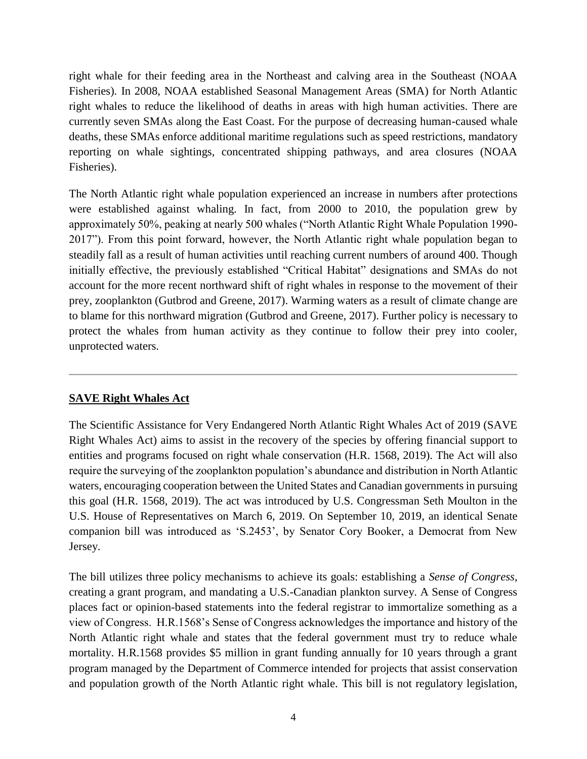right whale for their feeding area in the Northeast and calving area in the Southeast (NOAA Fisheries). In 2008, NOAA established Seasonal Management Areas (SMA) for North Atlantic right whales to reduce the likelihood of deaths in areas with high human activities. There are currently seven SMAs along the East Coast. For the purpose of decreasing human-caused whale deaths, these SMAs enforce additional maritime regulations such as speed restrictions, mandatory reporting on whale sightings, concentrated shipping pathways, and area closures (NOAA Fisheries).

The North Atlantic right whale population experienced an increase in numbers after protections were established against whaling. In fact, from 2000 to 2010, the population grew by approximately 50%, peaking at nearly 500 whales ("North Atlantic Right Whale Population 1990- 2017"). From this point forward, however, the North Atlantic right whale population began to steadily fall as a result of human activities until reaching current numbers of around 400. Though initially effective, the previously established "Critical Habitat" designations and SMAs do not account for the more recent northward shift of right whales in response to the movement of their prey, zooplankton (Gutbrod and Greene, 2017). Warming waters as a result of climate change are to blame for this northward migration (Gutbrod and Greene, 2017). Further policy is necessary to protect the whales from human activity as they continue to follow their prey into cooler, unprotected waters.

# **SAVE Right Whales Act**

The Scientific Assistance for Very Endangered North Atlantic Right Whales Act of 2019 (SAVE Right Whales Act) aims to assist in the recovery of the species by offering financial support to entities and programs focused on right whale conservation (H.R. 1568, 2019). The Act will also require the surveying of the zooplankton population's abundance and distribution in North Atlantic waters, encouraging cooperation between the United States and Canadian governments in pursuing this goal (H.R. 1568, 2019). The act was introduced by U.S. Congressman Seth Moulton in the U.S. House of Representatives on March 6, 2019. On September 10, 2019, an identical Senate companion bill was introduced as 'S.2453', by Senator Cory Booker, a Democrat from New Jersey.

The bill utilizes three policy mechanisms to achieve its goals: establishing a *Sense of Congress*, creating a grant program, and mandating a U.S.-Canadian plankton survey. A Sense of Congress places fact or opinion-based statements into the federal registrar to immortalize something as a view of Congress. H.R.1568's Sense of Congress acknowledges the importance and history of the North Atlantic right whale and states that the federal government must try to reduce whale mortality. H.R.1568 provides \$5 million in grant funding annually for 10 years through a grant program managed by the Department of Commerce intended for projects that assist conservation and population growth of the North Atlantic right whale. This bill is not regulatory legislation,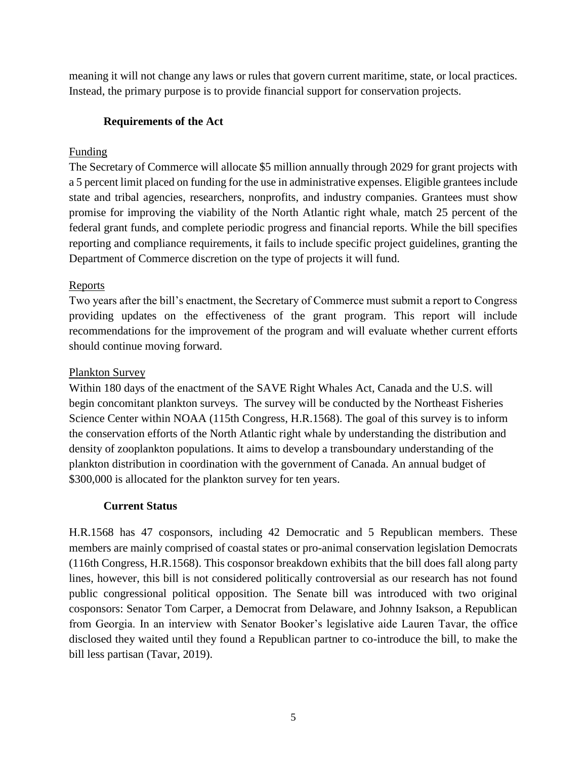meaning it will not change any laws or rules that govern current maritime, state, or local practices. Instead, the primary purpose is to provide financial support for conservation projects.

# **Requirements of the Act**

# Funding

The Secretary of Commerce will allocate \$5 million annually through 2029 for grant projects with a 5 percent limit placed on funding for the use in administrative expenses. Eligible grantees include state and tribal agencies, researchers, nonprofits, and industry companies. Grantees must show promise for improving the viability of the North Atlantic right whale, match 25 percent of the federal grant funds, and complete periodic progress and financial reports. While the bill specifies reporting and compliance requirements, it fails to include specific project guidelines, granting the Department of Commerce discretion on the type of projects it will fund.

# Reports

Two years after the bill's enactment, the Secretary of Commerce must submit a report to Congress providing updates on the effectiveness of the grant program. This report will include recommendations for the improvement of the program and will evaluate whether current efforts should continue moving forward.

# Plankton Survey

Within 180 days of the enactment of the SAVE Right Whales Act, Canada and the U.S. will begin concomitant plankton surveys. The survey will be conducted by the Northeast Fisheries Science Center within NOAA (115th Congress, H.R.1568). The goal of this survey is to inform the conservation efforts of the North Atlantic right whale by understanding the distribution and density of zooplankton populations. It aims to develop a transboundary understanding of the plankton distribution in coordination with the government of Canada. An annual budget of \$300,000 is allocated for the plankton survey for ten years.

# **Current Status**

H.R.1568 has 47 cosponsors, including 42 Democratic and 5 Republican members. These members are mainly comprised of coastal states or pro-animal conservation legislation Democrats (116th Congress, H.R.1568). This cosponsor breakdown exhibits that the bill does fall along party lines, however, this bill is not considered politically controversial as our research has not found public congressional political opposition. The Senate bill was introduced with two original cosponsors: Senator Tom Carper, a Democrat from Delaware, and Johnny Isakson, a Republican from Georgia. In an interview with Senator Booker's legislative aide Lauren Tavar, the office disclosed they waited until they found a Republican partner to co-introduce the bill, to make the bill less partisan (Tavar, 2019).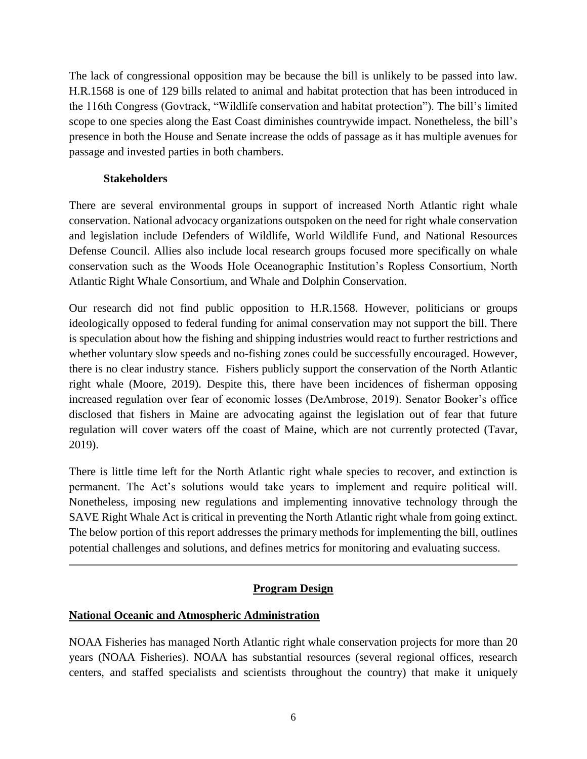The lack of congressional opposition may be because the bill is unlikely to be passed into law. H.R.1568 is one of 129 bills related to animal and habitat protection that has been introduced in the 116th Congress (Govtrack, "Wildlife conservation and habitat protection"). The bill's limited scope to one species along the East Coast diminishes countrywide impact. Nonetheless, the bill's presence in both the House and Senate increase the odds of passage as it has multiple avenues for passage and invested parties in both chambers.

# **Stakeholders**

There are several environmental groups in support of increased North Atlantic right whale conservation. National advocacy organizations outspoken on the need for right whale conservation and legislation include Defenders of Wildlife, World Wildlife Fund, and National Resources Defense Council. Allies also include local research groups focused more specifically on whale conservation such as the Woods Hole Oceanographic Institution's Ropless Consortium, North Atlantic Right Whale Consortium, and Whale and Dolphin Conservation.

Our research did not find public opposition to H.R.1568. However, politicians or groups ideologically opposed to federal funding for animal conservation may not support the bill. There is speculation about how the fishing and shipping industries would react to further restrictions and whether voluntary slow speeds and no-fishing zones could be successfully encouraged. However, there is no clear industry stance. Fishers publicly support the conservation of the North Atlantic right whale (Moore, 2019). Despite this, there have been incidences of fisherman opposing increased regulation over fear of economic losses (DeAmbrose, 2019). Senator Booker's office disclosed that fishers in Maine are advocating against the legislation out of fear that future regulation will cover waters off the coast of Maine, which are not currently protected (Tavar, 2019).

There is little time left for the North Atlantic right whale species to recover, and extinction is permanent. The Act's solutions would take years to implement and require political will. Nonetheless, imposing new regulations and implementing innovative technology through the SAVE Right Whale Act is critical in preventing the North Atlantic right whale from going extinct. The below portion of this report addresses the primary methods for implementing the bill, outlines potential challenges and solutions, and defines metrics for monitoring and evaluating success.

# **Program Design**

# **National Oceanic and Atmospheric Administration**

NOAA Fisheries has managed North Atlantic right whale conservation projects for more than 20 years (NOAA Fisheries). NOAA has substantial resources (several regional offices, research centers, and staffed specialists and scientists throughout the country) that make it uniquely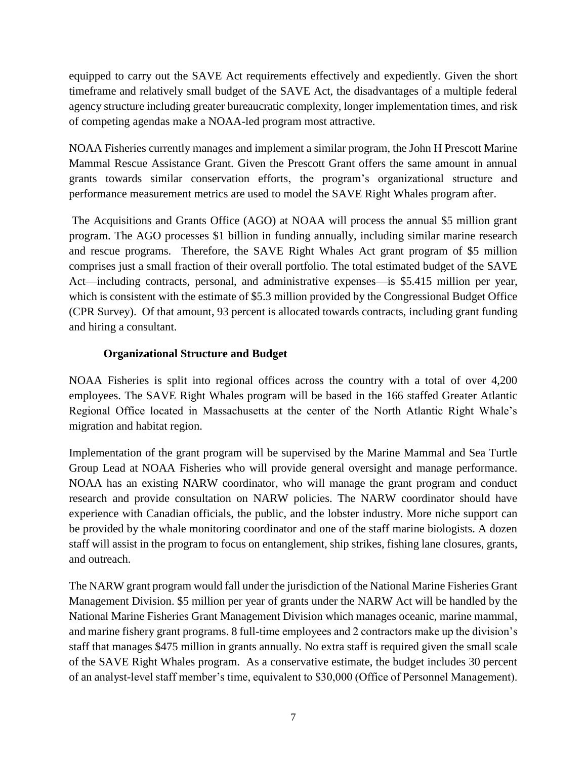equipped to carry out the SAVE Act requirements effectively and expediently. Given the short timeframe and relatively small budget of the SAVE Act, the disadvantages of a multiple federal agency structure including greater bureaucratic complexity, longer implementation times, and risk of competing agendas make a NOAA-led program most attractive.

NOAA Fisheries currently manages and implement a similar program, the John H Prescott Marine Mammal Rescue Assistance Grant. Given the Prescott Grant offers the same amount in annual grants towards similar conservation efforts, the program's organizational structure and performance measurement metrics are used to model the SAVE Right Whales program after.

The Acquisitions and Grants Office (AGO) at NOAA will process the annual \$5 million grant program. The AGO processes \$1 billion in funding annually, including similar marine research and rescue programs. Therefore, the SAVE Right Whales Act grant program of \$5 million comprises just a small fraction of their overall portfolio. The total estimated budget of the SAVE Act—including contracts, personal, and administrative expenses—is \$5.415 million per year, which is consistent with the estimate of \$5.3 million provided by the Congressional Budget Office (CPR Survey). Of that amount, 93 percent is allocated towards contracts, including grant funding and hiring a consultant.

# **Organizational Structure and Budget**

NOAA Fisheries is split into regional offices across the country with a total of over 4,200 employees. The SAVE Right Whales program will be based in the 166 staffed Greater Atlantic Regional Office located in Massachusetts at the center of the North Atlantic Right Whale's migration and habitat region.

Implementation of the grant program will be supervised by the Marine Mammal and Sea Turtle Group Lead at NOAA Fisheries who will provide general oversight and manage performance. NOAA has an existing NARW coordinator, who will manage the grant program and conduct research and provide consultation on NARW policies. The NARW coordinator should have experience with Canadian officials, the public, and the lobster industry. More niche support can be provided by the whale monitoring coordinator and one of the staff marine biologists. A dozen staff will assist in the program to focus on entanglement, ship strikes, fishing lane closures, grants, and outreach.

The NARW grant program would fall under the jurisdiction of the National Marine Fisheries Grant Management Division. \$5 million per year of grants under the NARW Act will be handled by the National Marine Fisheries Grant Management Division which manages oceanic, marine mammal, and marine fishery grant programs. 8 full-time employees and 2 contractors make up the division's staff that manages \$475 million in grants annually. No extra staff is required given the small scale of the SAVE Right Whales program. As a conservative estimate, the budget includes 30 percent of an analyst-level staff member's time, equivalent to \$30,000 (Office of Personnel Management).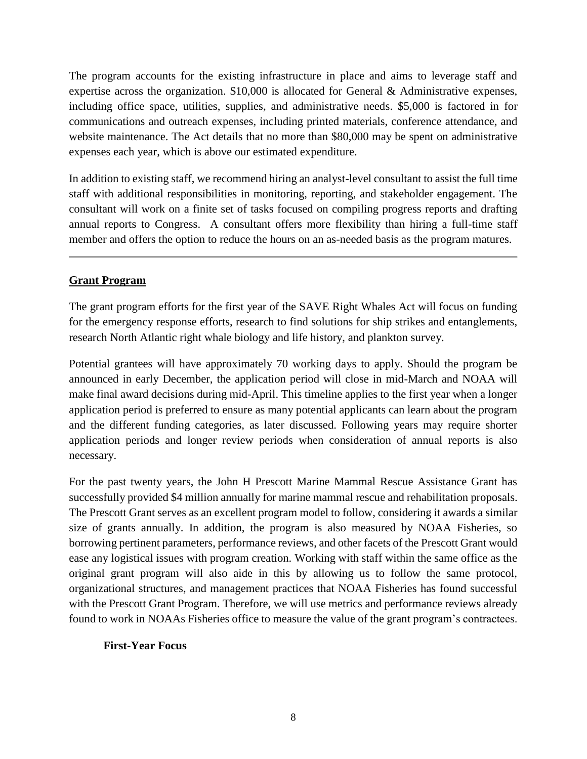The program accounts for the existing infrastructure in place and aims to leverage staff and expertise across the organization. \$10,000 is allocated for General & Administrative expenses, including office space, utilities, supplies, and administrative needs. \$5,000 is factored in for communications and outreach expenses, including printed materials, conference attendance, and website maintenance. The Act details that no more than \$80,000 may be spent on administrative expenses each year, which is above our estimated expenditure.

In addition to existing staff, we recommend hiring an analyst-level consultant to assist the full time staff with additional responsibilities in monitoring, reporting, and stakeholder engagement. The consultant will work on a finite set of tasks focused on compiling progress reports and drafting annual reports to Congress. A consultant offers more flexibility than hiring a full-time staff member and offers the option to reduce the hours on an as-needed basis as the program matures.

# **Grant Program**

The grant program efforts for the first year of the SAVE Right Whales Act will focus on funding for the emergency response efforts, research to find solutions for ship strikes and entanglements, research North Atlantic right whale biology and life history, and plankton survey.

Potential grantees will have approximately 70 working days to apply. Should the program be announced in early December, the application period will close in mid-March and NOAA will make final award decisions during mid-April. This timeline applies to the first year when a longer application period is preferred to ensure as many potential applicants can learn about the program and the different funding categories, as later discussed. Following years may require shorter application periods and longer review periods when consideration of annual reports is also necessary.

For the past twenty years, the John H Prescott Marine Mammal Rescue Assistance Grant has successfully provided \$4 million annually for marine mammal rescue and rehabilitation proposals. The Prescott Grant serves as an excellent program model to follow, considering it awards a similar size of grants annually. In addition, the program is also measured by NOAA Fisheries, so borrowing pertinent parameters, performance reviews, and other facets of the Prescott Grant would ease any logistical issues with program creation. Working with staff within the same office as the original grant program will also aide in this by allowing us to follow the same protocol, organizational structures, and management practices that NOAA Fisheries has found successful with the Prescott Grant Program. Therefore, we will use metrics and performance reviews already found to work in NOAAs Fisheries office to measure the value of the grant program's contractees.

# **First-Year Focus**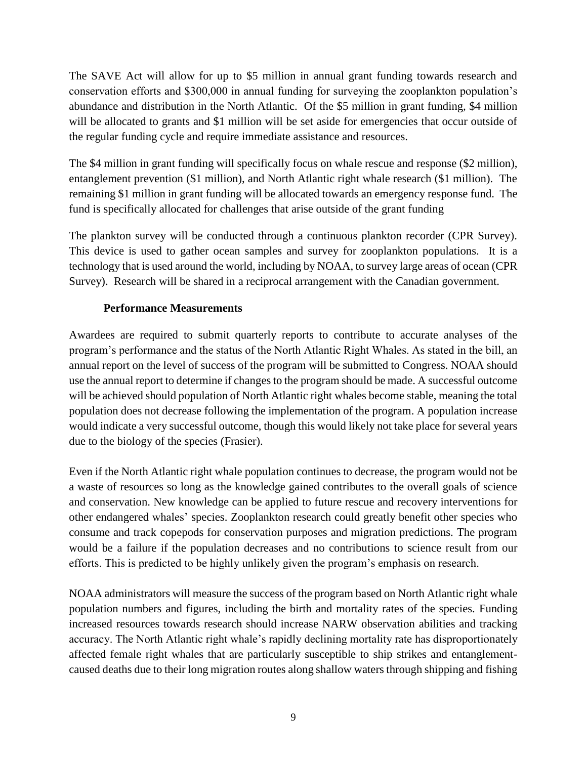The SAVE Act will allow for up to \$5 million in annual grant funding towards research and conservation efforts and \$300,000 in annual funding for surveying the zooplankton population's abundance and distribution in the North Atlantic. Of the \$5 million in grant funding, \$4 million will be allocated to grants and \$1 million will be set aside for emergencies that occur outside of the regular funding cycle and require immediate assistance and resources.

The \$4 million in grant funding will specifically focus on whale rescue and response (\$2 million), entanglement prevention (\$1 million), and North Atlantic right whale research (\$1 million). The remaining \$1 million in grant funding will be allocated towards an emergency response fund. The fund is specifically allocated for challenges that arise outside of the grant funding

The plankton survey will be conducted through a continuous plankton recorder (CPR Survey). This device is used to gather ocean samples and survey for zooplankton populations. It is a technology that is used around the world, including by NOAA, to survey large areas of ocean (CPR Survey). Research will be shared in a reciprocal arrangement with the Canadian government.

# **Performance Measurements**

Awardees are required to submit quarterly reports to contribute to accurate analyses of the program's performance and the status of the North Atlantic Right Whales. As stated in the bill, an annual report on the level of success of the program will be submitted to Congress. NOAA should use the annual report to determine if changes to the program should be made. A successful outcome will be achieved should population of North Atlantic right whales become stable, meaning the total population does not decrease following the implementation of the program. A population increase would indicate a very successful outcome, though this would likely not take place for several years due to the biology of the species (Frasier).

Even if the North Atlantic right whale population continues to decrease, the program would not be a waste of resources so long as the knowledge gained contributes to the overall goals of science and conservation. New knowledge can be applied to future rescue and recovery interventions for other endangered whales' species. Zooplankton research could greatly benefit other species who consume and track copepods for conservation purposes and migration predictions. The program would be a failure if the population decreases and no contributions to science result from our efforts. This is predicted to be highly unlikely given the program's emphasis on research.

NOAA administrators will measure the success of the program based on North Atlantic right whale population numbers and figures, including the birth and mortality rates of the species. Funding increased resources towards research should increase NARW observation abilities and tracking accuracy. The North Atlantic right whale's rapidly declining mortality rate has disproportionately affected female right whales that are particularly susceptible to ship strikes and entanglementcaused deaths due to their long migration routes along shallow waters through shipping and fishing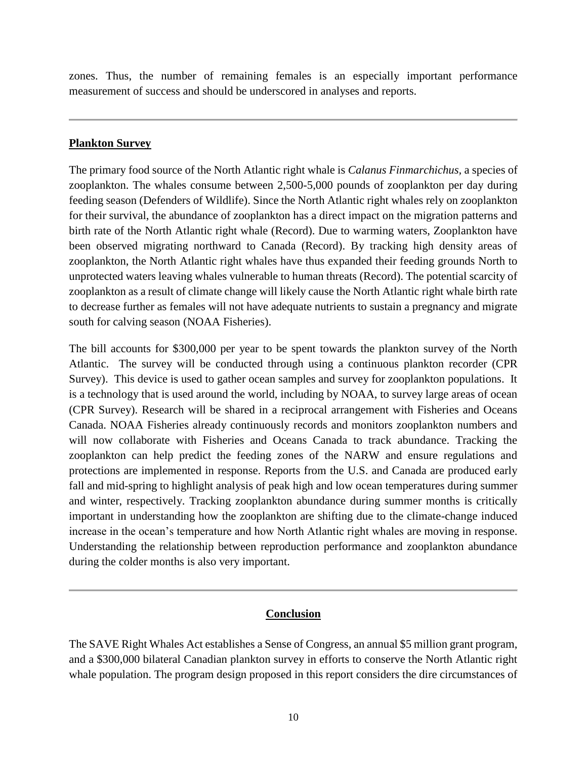zones. Thus, the number of remaining females is an especially important performance measurement of success and should be underscored in analyses and reports.

#### **Plankton Survey**

The primary food source of the North Atlantic right whale is *Calanus Finmarchichus,* a species of zooplankton. The whales consume between 2,500-5,000 pounds of zooplankton per day during feeding season (Defenders of Wildlife). Since the North Atlantic right whales rely on zooplankton for their survival, the abundance of zooplankton has a direct impact on the migration patterns and birth rate of the North Atlantic right whale (Record). Due to warming waters, Zooplankton have been observed migrating northward to Canada (Record). By tracking high density areas of zooplankton, the North Atlantic right whales have thus expanded their feeding grounds North to unprotected waters leaving whales vulnerable to human threats (Record). The potential scarcity of zooplankton as a result of climate change will likely cause the North Atlantic right whale birth rate to decrease further as females will not have adequate nutrients to sustain a pregnancy and migrate south for calving season (NOAA Fisheries).

The bill accounts for \$300,000 per year to be spent towards the plankton survey of the North Atlantic. The survey will be conducted through using a continuous plankton recorder (CPR Survey). This device is used to gather ocean samples and survey for zooplankton populations. It is a technology that is used around the world, including by NOAA, to survey large areas of ocean (CPR Survey). Research will be shared in a reciprocal arrangement with Fisheries and Oceans Canada. NOAA Fisheries already continuously records and monitors zooplankton numbers and will now collaborate with Fisheries and Oceans Canada to track abundance. Tracking the zooplankton can help predict the feeding zones of the NARW and ensure regulations and protections are implemented in response. Reports from the U.S. and Canada are produced early fall and mid-spring to highlight analysis of peak high and low ocean temperatures during summer and winter, respectively. Tracking zooplankton abundance during summer months is critically important in understanding how the zooplankton are shifting due to the climate-change induced increase in the ocean's temperature and how North Atlantic right whales are moving in response. Understanding the relationship between reproduction performance and zooplankton abundance during the colder months is also very important.

# **Conclusion**

The SAVE Right Whales Act establishes a Sense of Congress, an annual \$5 million grant program, and a \$300,000 bilateral Canadian plankton survey in efforts to conserve the North Atlantic right whale population. The program design proposed in this report considers the dire circumstances of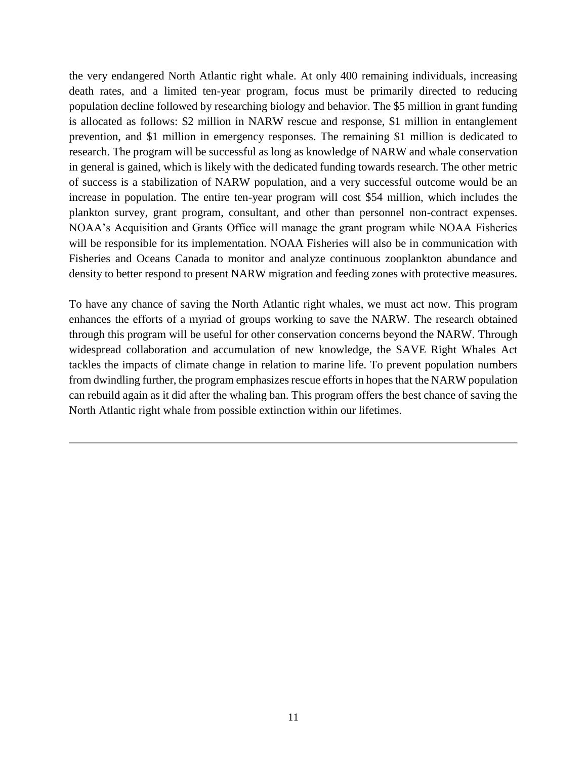the very endangered North Atlantic right whale. At only 400 remaining individuals, increasing death rates, and a limited ten-year program, focus must be primarily directed to reducing population decline followed by researching biology and behavior. The \$5 million in grant funding is allocated as follows: \$2 million in NARW rescue and response, \$1 million in entanglement prevention, and \$1 million in emergency responses. The remaining \$1 million is dedicated to research. The program will be successful as long as knowledge of NARW and whale conservation in general is gained, which is likely with the dedicated funding towards research. The other metric of success is a stabilization of NARW population, and a very successful outcome would be an increase in population. The entire ten-year program will cost \$54 million, which includes the plankton survey, grant program, consultant, and other than personnel non-contract expenses. NOAA's Acquisition and Grants Office will manage the grant program while NOAA Fisheries will be responsible for its implementation. NOAA Fisheries will also be in communication with Fisheries and Oceans Canada to monitor and analyze continuous zooplankton abundance and density to better respond to present NARW migration and feeding zones with protective measures.

To have any chance of saving the North Atlantic right whales, we must act now. This program enhances the efforts of a myriad of groups working to save the NARW. The research obtained through this program will be useful for other conservation concerns beyond the NARW. Through widespread collaboration and accumulation of new knowledge, the SAVE Right Whales Act tackles the impacts of climate change in relation to marine life. To prevent population numbers from dwindling further, the program emphasizes rescue efforts in hopes that the NARW population can rebuild again as it did after the whaling ban. This program offers the best chance of saving the North Atlantic right whale from possible extinction within our lifetimes.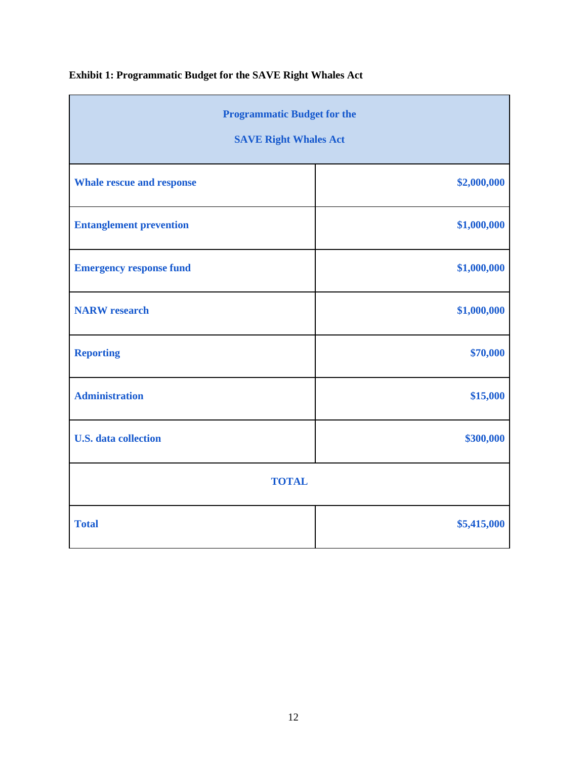| <b>Programmatic Budget for the</b><br><b>SAVE Right Whales Act</b> |             |  |
|--------------------------------------------------------------------|-------------|--|
| <b>Whale rescue and response</b>                                   | \$2,000,000 |  |
| <b>Entanglement prevention</b>                                     | \$1,000,000 |  |
| <b>Emergency response fund</b>                                     | \$1,000,000 |  |
| <b>NARW</b> research                                               | \$1,000,000 |  |
| <b>Reporting</b>                                                   | \$70,000    |  |
| <b>Administration</b>                                              | \$15,000    |  |
| <b>U.S.</b> data collection                                        | \$300,000   |  |
| <b>TOTAL</b>                                                       |             |  |
| <b>Total</b>                                                       | \$5,415,000 |  |

# **Exhibit 1: Programmatic Budget for the SAVE Right Whales Act**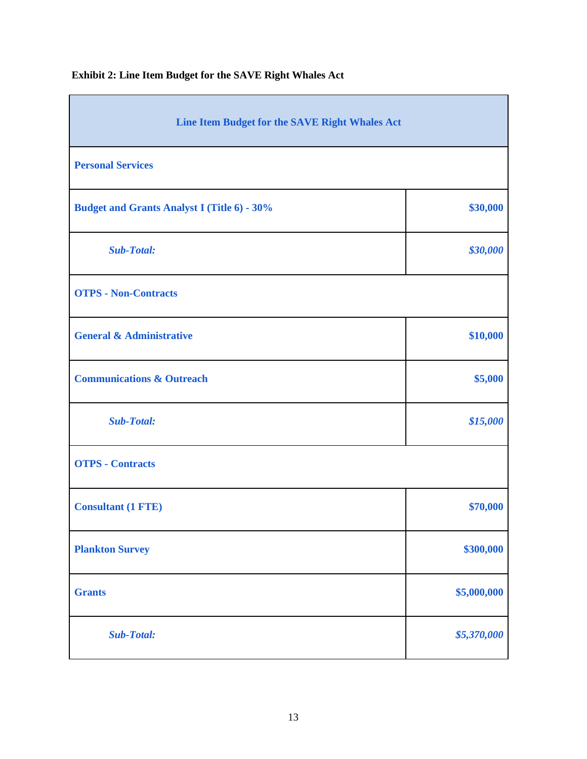| Line Item Budget for the SAVE Right Whales Act     |             |  |
|----------------------------------------------------|-------------|--|
| <b>Personal Services</b>                           |             |  |
| <b>Budget and Grants Analyst I (Title 6) - 30%</b> | \$30,000    |  |
| <b>Sub-Total:</b>                                  | \$30,000    |  |
| <b>OTPS - Non-Contracts</b>                        |             |  |
| <b>General &amp; Administrative</b>                | \$10,000    |  |
| <b>Communications &amp; Outreach</b>               | \$5,000     |  |
| <b>Sub-Total:</b>                                  | \$15,000    |  |
| <b>OTPS - Contracts</b>                            |             |  |
| <b>Consultant (1 FTE)</b>                          | \$70,000    |  |
| <b>Plankton Survey</b>                             | \$300,000   |  |
| <b>Grants</b>                                      | \$5,000,000 |  |
| <b>Sub-Total:</b>                                  | \$5,370,000 |  |

**Exhibit 2: Line Item Budget for the SAVE Right Whales Act**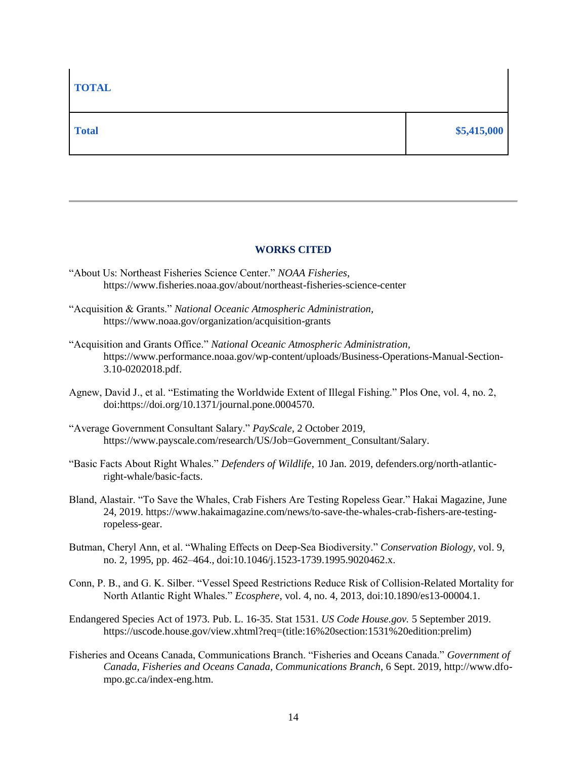#### **WORKS CITED**

- "About Us: Northeast Fisheries Science Center." *NOAA Fisheries,*  https://www.fisheries.noaa.gov/about/northeast-fisheries-science-center
- "Acquisition & Grants." *National Oceanic Atmospheric Administration,*  https://www.noaa.gov/organization/acquisition-grants
- "Acquisition and Grants Office." *National Oceanic Atmospheric Administration,*  https://www.performance.noaa.gov/wp-content/uploads/Business-Operations-Manual-Section-3.10-0202018.pdf.
- Agnew, David J., et al. "Estimating the Worldwide Extent of Illegal Fishing." Plos One, vol. 4, no. 2, doi:https://doi.org/10.1371/journal.pone.0004570.
- "Average Government Consultant Salary." *PayScale,* 2 October 2019, https://www.payscale.com/research/US/Job=Government\_Consultant/Salary.
- "Basic Facts About Right Whales." *Defenders of Wildlife*, 10 Jan. 2019, defenders.org/north-atlanticright-whale/basic-facts.
- Bland, Alastair. "To Save the Whales, Crab Fishers Are Testing Ropeless Gear." Hakai Magazine, June 24, 2019. https://www.hakaimagazine.com/news/to-save-the-whales-crab-fishers-are-testingropeless-gear.
- Butman, Cheryl Ann, et al. "Whaling Effects on Deep-Sea Biodiversity." *Conservation Biology*, vol. 9, no. 2, 1995, pp. 462–464., doi:10.1046/j.1523-1739.1995.9020462.x.
- Conn, P. B., and G. K. Silber. "Vessel Speed Restrictions Reduce Risk of Collision-Related Mortality for North Atlantic Right Whales." *Ecosphere*, vol. 4, no. 4, 2013, doi:10.1890/es13-00004.1.
- Endangered Species Act of 1973. Pub. L. 16-35. Stat 1531. *US Code House.gov.* 5 September 2019. https://uscode.house.gov/view.xhtml?req=(title:16%20section:1531%20edition:prelim)
- Fisheries and Oceans Canada, Communications Branch. "Fisheries and Oceans Canada." *Government of Canada, Fisheries and Oceans Canada, Communications Branch*, 6 Sept. 2019, http://www.dfompo.gc.ca/index-eng.htm.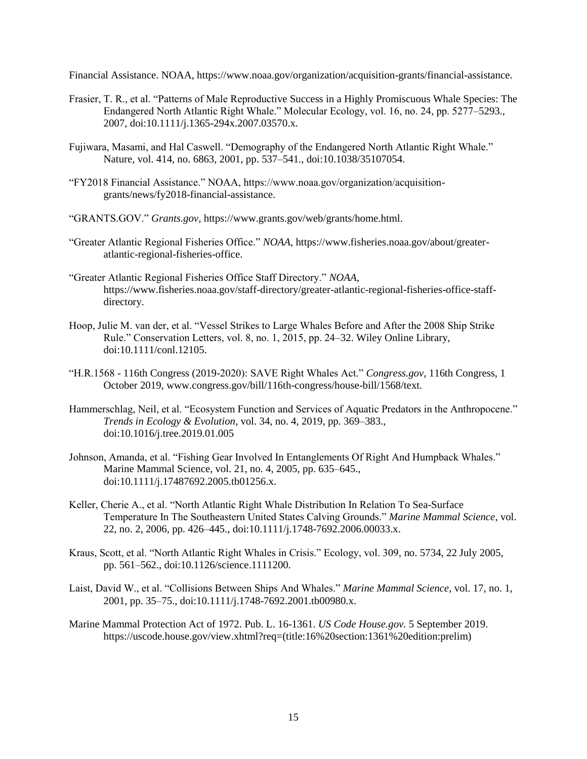Financial Assistance. NOAA, https://www.noaa.gov/organization/acquisition-grants/financial-assistance.

- Frasier, T. R., et al. "Patterns of Male Reproductive Success in a Highly Promiscuous Whale Species: The Endangered North Atlantic Right Whale." Molecular Ecology, vol. 16, no. 24, pp. 5277–5293., 2007, doi:10.1111/j.1365-294x.2007.03570.x.
- Fujiwara, Masami, and Hal Caswell. "Demography of the Endangered North Atlantic Right Whale." Nature, vol. 414, no. 6863, 2001, pp. 537–541., doi:10.1038/35107054.
- "FY2018 Financial Assistance." NOAA, https://www.noaa.gov/organization/acquisitiongrants/news/fy2018-financial-assistance.
- "GRANTS.GOV." *Grants.gov,* https://www.grants.gov/web/grants/home.html.
- "Greater Atlantic Regional Fisheries Office." *NOAA*, https://www.fisheries.noaa.gov/about/greateratlantic-regional-fisheries-office.
- "Greater Atlantic Regional Fisheries Office Staff Directory." *NOAA*, https://www.fisheries.noaa.gov/staff-directory/greater-atlantic-regional-fisheries-office-staffdirectory.
- Hoop, Julie M. van der, et al. "Vessel Strikes to Large Whales Before and After the 2008 Ship Strike Rule." Conservation Letters, vol. 8, no. 1, 2015, pp. 24–32. Wiley Online Library, doi:10.1111/conl.12105.
- "H.R.1568 116th Congress (2019-2020): SAVE Right Whales Act." *Congress.gov*, 116th Congress, 1 October 2019, www.congress.gov/bill/116th-congress/house-bill/1568/text.
- Hammerschlag, Neil, et al. "Ecosystem Function and Services of Aquatic Predators in the Anthropocene." *Trends in Ecology & Evolution*, vol. 34, no. 4, 2019, pp. 369–383., doi:10.1016/j.tree.2019.01.005
- Johnson, Amanda, et al. "Fishing Gear Involved In Entanglements Of Right And Humpback Whales." Marine Mammal Science, vol. 21, no. 4, 2005, pp. 635–645., doi:10.1111/j.17487692.2005.tb01256.x.
- Keller, Cherie A., et al. "North Atlantic Right Whale Distribution In Relation To Sea-Surface Temperature In The Southeastern United States Calving Grounds." *Marine Mammal Science*, vol. 22, no. 2, 2006, pp. 426–445., doi:10.1111/j.1748-7692.2006.00033.x.
- Kraus, Scott, et al. "North Atlantic Right Whales in Crisis." Ecology, vol. 309, no. 5734, 22 July 2005, pp. 561–562., doi:10.1126/science.1111200.
- Laist, David W., et al. "Collisions Between Ships And Whales." *Marine Mammal Science*, vol. 17, no. 1, 2001, pp. 35–75., doi:10.1111/j.1748-7692.2001.tb00980.x.
- Marine Mammal Protection Act of 1972. Pub. L. 16-1361. *US Code House.gov.* 5 September 2019. https://uscode.house.gov/view.xhtml?req=(title:16%20section:1361%20edition:prelim)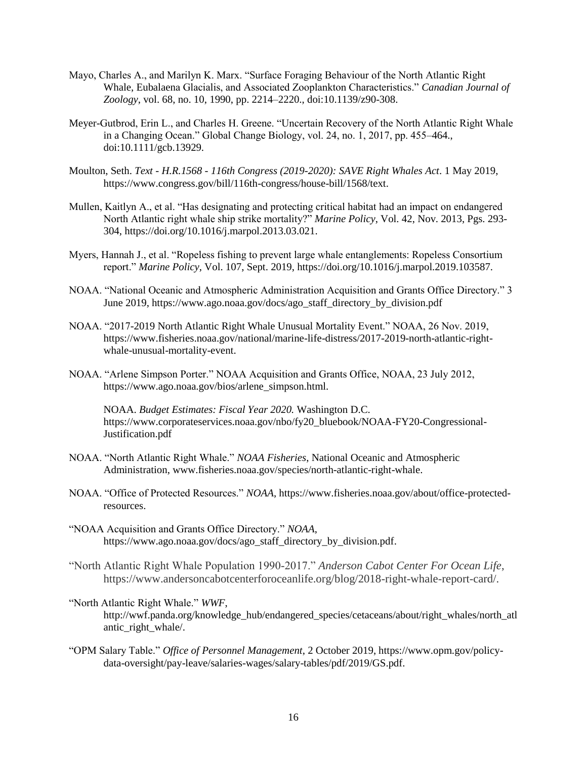- Mayo, Charles A., and Marilyn K. Marx. "Surface Foraging Behaviour of the North Atlantic Right Whale, Eubalaena Glacialis, and Associated Zooplankton Characteristics." *Canadian Journal of Zoology*, vol. 68, no. 10, 1990, pp. 2214–2220., doi:10.1139/z90-308.
- Meyer-Gutbrod, Erin L., and Charles H. Greene. "Uncertain Recovery of the North Atlantic Right Whale in a Changing Ocean." Global Change Biology, vol. 24, no. 1, 2017, pp. 455–464., doi:10.1111/gcb.13929.
- Moulton, Seth. *Text - H.R.1568 - 116th Congress (2019-2020): SAVE Right Whales Act*. 1 May 2019, https://www.congress.gov/bill/116th-congress/house-bill/1568/text.
- Mullen, Kaitlyn A., et al. "Has designating and protecting critical habitat had an impact on endangered North Atlantic right whale ship strike mortality?" *Marine Policy*, Vol. 42, Nov. 2013, Pgs. 293- 304[,](https://doi-org.ezproxy.cul.columbia.edu/10.1016/j.marpol.2013.03.021) https://doi.org/10.1016/j.marpol.2013.03.021.
- Myers, Hannah J., et al. "Ropeless fishing to prevent large whale entanglements: Ropeless Consortium report." *Marine Policy*, Vol. 107, Sept. 2019, https://doi.org/10.1016/j.marpol.2019.103587.
- NOAA. "National Oceanic and Atmospheric Administration Acquisition and Grants Office Directory." 3 June 2019, https://www.ago.noaa.gov/docs/ago\_staff\_directory\_by\_division.pdf
- NOAA. "2017-2019 North Atlantic Right Whale Unusual Mortality Event." NOAA, 26 Nov. 2019, https://www.fisheries.noaa.gov/national/marine-life-distress/2017-2019-north-atlantic-rightwhale-unusual-mortality-event.
- NOAA. "Arlene Simpson Porter." NOAA Acquisition and Grants Office, NOAA, 23 July 2012, https://www.ago.noaa.gov/bios/arlene\_simpson.html.

NOAA. *Budget Estimates: Fiscal Year 2020.* Washington D.C. https://www.corporateservices.noaa.gov/nbo/fy20\_bluebook/NOAA-FY20-Congressional-Justification.pdf

- NOAA. "North Atlantic Right Whale." *NOAA Fisheries*, National Oceanic and Atmospheric Administration, [www.fisheries.noaa.gov/species/north-atlantic-right-whale.](http://www.fisheries.noaa.gov/species/north-atlantic-right-whale)
- NOAA. "Office of Protected Resources." *NOAA*, https://www.fisheries.noaa.gov/about/office-protectedresources.
- "NOAA Acquisition and Grants Office Directory." *NOAA*, [https://www.ago.noaa.gov/docs/ago\\_staff\\_directory\\_by\\_division.pdf](https://www.ago.noaa.gov/docs/ago_staff_directory_by_division.pdf).
- "North Atlantic Right Whale Population 1990-2017." *Anderson Cabot Center For Ocean Life*, https://www.andersoncabotcenterforoceanlife.org/blog/2018-right-whale-report-card/.
- "North Atlantic Right Whale." *WWF*, http://wwf.panda.org/knowledge\_hub/endangered\_species/cetaceans/about/right\_whales/north\_atl antic\_right\_whale/.
- "OPM Salary Table." *Office of Personnel Management*, 2 October 2019, https://www.opm.gov/policydata-oversight/pay-leave/salaries-wages/salary-tables/pdf/2019/GS.pdf.